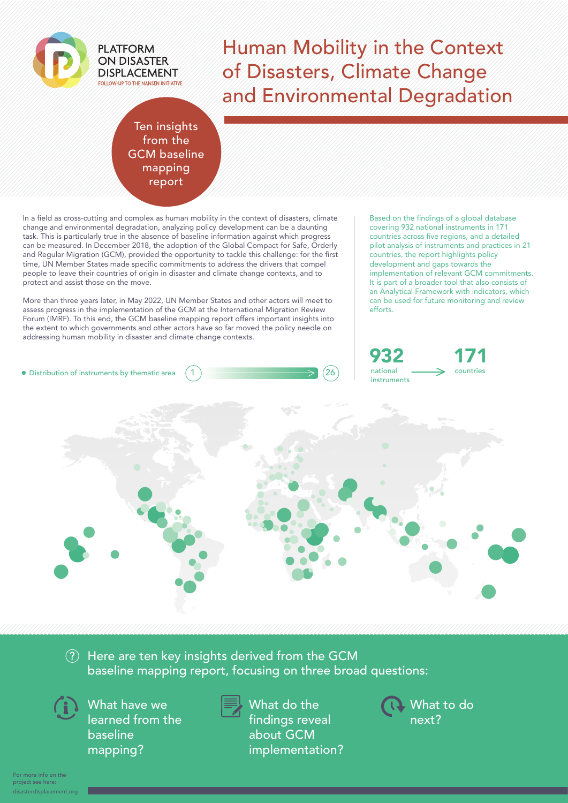

# Human Mobility in the Context of Disasters, Climate Change and Environmental Degradation

#### Ten insights from the GCM baseline mapping report

In a field as cross-cutting and complex as human mobility in the context of disasters, climate change and environmental degradation, analyzing policy development can be a daunting task. This is particularly true in the absence of baseline information against which progress can be measured. In December 2018, the adoption of the Global Compact for Safe, Orderly and Regular Migration (GCM), provided the opportunity to tackle this challenge: for the first time, UN Member States made specific commitments to address the drivers that compel people to leave their countries of origin in disaster and climate change contexts, and to protect and assist those on the move.

More than three years later, in May 2022, UN Member States and other actors will meet to assess progress in the implementation of the GCM at the International Migration Review Forum (IMRF). To this end, the GCM baseline mapping report offers important insights into the extent to which governments and other actors have so far moved the policy needle on addressing human mobility in disaster and climate change contexts.

Based on the findings of a global database covering 932 national instruments in 171 countries across five regions, and a detailed pilot analysis of instruments and practices in 21 countries, the report highlights policy development and gaps towards the implementation of relevant GCM commitments. It is part of a broader tool that also consists of an Analytical Framework with indicators, which can be used for future monitoring and review efforts.





#### $\Omega$  Here are ten key insights derived from the GCM baseline mapping report, focusing on three broad questions:



What have we learned from the baseline mapping?



What do the findings reveal about GCM implementation? What to do next?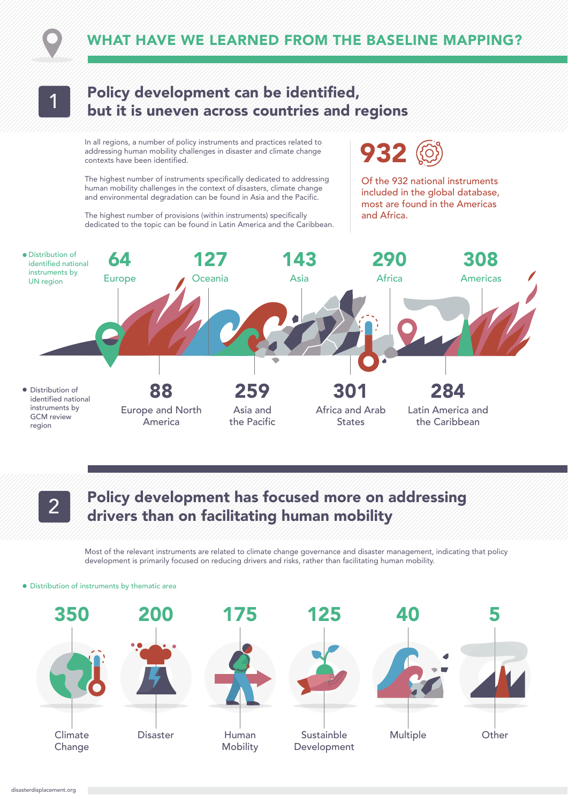



### Policy development can be identified, but it is uneven across countries and regions 1

In all regions, a number of policy instruments and practices related to addressing human mobility challenges in disaster and climate change contexts have been identified.

The highest number of instruments specifically dedicated to addressing human mobility challenges in the context of disasters, climate change and environmental degradation can be found in Asia and the Pacific.

The highest number of provisions (within instruments) specifically dedicated to the topic can be found in Latin America and the Caribbean. 932

Of the 932 national instruments included in the global database, most are found in the Americas and Africa.



## Policy development has focused more on addressing drivers than on facilitating human mobility 2

Most of the relevant instruments are related to climate change governance and disaster management, indicating that policy development is primarily focused on reducing drivers and risks, rather than facilitating human mobility.

#### Distribution of instruments by thematic area

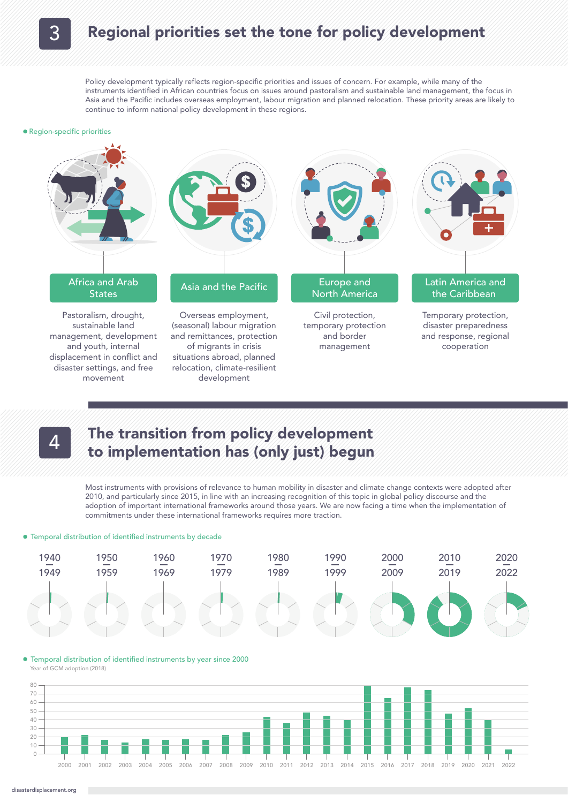### Regional priorities set the tone for policy development

Policy development typically reflects region-specific priorities and issues of concern. For example, while many of the instruments identified in African countries focus on issues around pastoralism and sustainable land management, the focus in Asia and the Pacific includes overseas employment, labour migration and planned relocation. These priority areas are likely to continue to inform national policy development in these regions.

#### Region-specific priorities





#### The transition from policy development to implementation has (only just) begun 4

Most instruments with provisions of relevance to human mobility in disaster and climate change contexts were adopted after 2010, and particularly since 2015, in line with an increasing recognition of this topic in global policy discourse and the adoption of important international frameworks around those years. We are now facing a time when the implementation of commitments under these international frameworks requires more traction.

#### Temporal distribution of identified instruments by decade



#### Temporal distribution of identified instruments by year since 2000 Year of GCM adoption (2018)

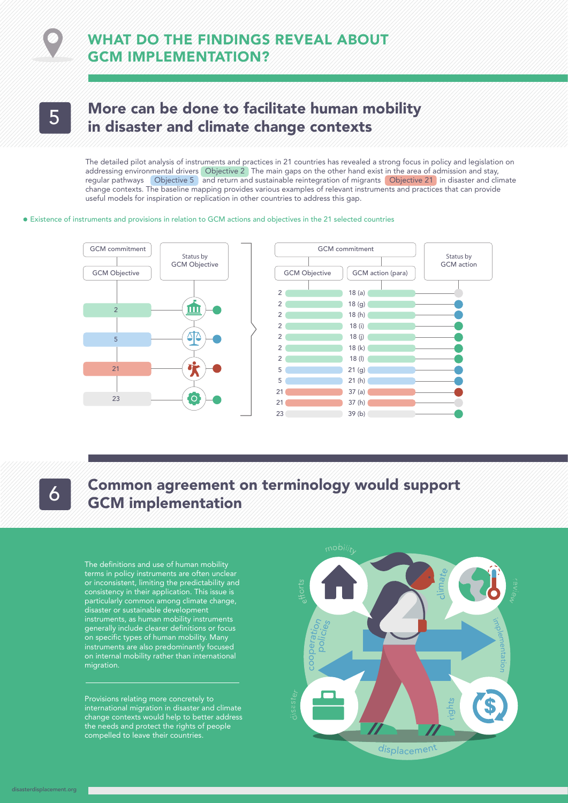### WHAT DO THE FINDINGS REVEAL ABOUT GCM IMPLEMENTATION?

# More can be done to facilitate human mobility 5 In disaster and climate change contexts

The detailed pilot analysis of instruments and practices in 21 countries has revealed a strong focus in policy and legislation on addressing environmental drivers Objective 2 The main gaps on the other hand exist in the area of admission and stay, regular pathways **Objective 5** and return and sustainable reintegration of migrants **Objective 21** in disaster and climate change contexts. The baseline mapping provides various examples of relevant instruments and practices that can provide useful models for inspiration or replication in other countries to address this gap.

#### Existence of instruments and provisions in relation to GCM actions and objectives in the 21 selected countries



[disasterdisplacement.org](https://disasterdisplacement.org/)

### Common agreement on terminology would support **GCM** implementation

The definitions and use of human mobility terms in policy instruments are often unclear or inconsistent, limiting the predictability and consistency in their application. This issue is particularly common among climate change, disaster or sustainable development instruments, as human mobility instruments generally include clearer definitions or focus on specific types of human mobility. Many instruments are also predominantly focused on internal mobility rather than international migration.

Provisions relating more concretely to international migration in disaster and climate change contexts would help to better address the needs and protect the rights of people compelled to leave their countries.

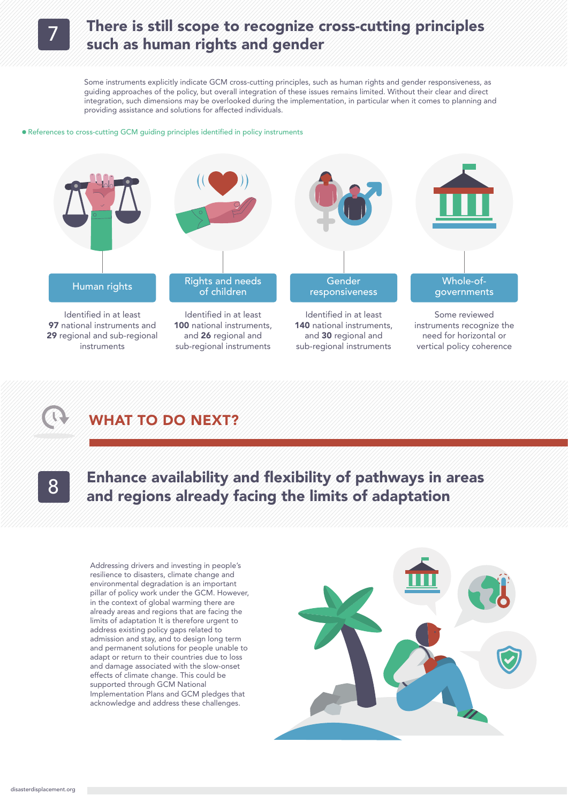

### There is still scope to recognize cross-cutting principles such as human rights and gender

Some instruments explicitly indicate GCM cross-cutting principles, such as human rights and gender responsiveness, as guiding approaches of the policy, but overall integration of these issues remains limited. Without their clear and direct integration, such dimensions may be overlooked during the implementation, in particular when it comes to planning and providing assistance and solutions for affected individuals.

#### References to cross-cutting GCM guiding principles identified in policy instruments



### WHAT TO DO NEXT?

## Enhance availability and flexibility of pathways in areas and regions already facing the limits of adaptation 8

Addressing drivers and investing in people's resilience to disasters, climate change and environmental degradation is an important pillar of policy work under the GCM. However, in the context of global warming there are already areas and regions that are facing the limits of adaptation It is therefore urgent to address existing policy gaps related to admission and stay, and to design long term and permanent solutions for people unable to adapt or return to their countries due to loss and damage associated with the slow-onset effects of climate change. This could be supported through GCM National Implementation Plans and GCM pledges that acknowledge and address these challenges.